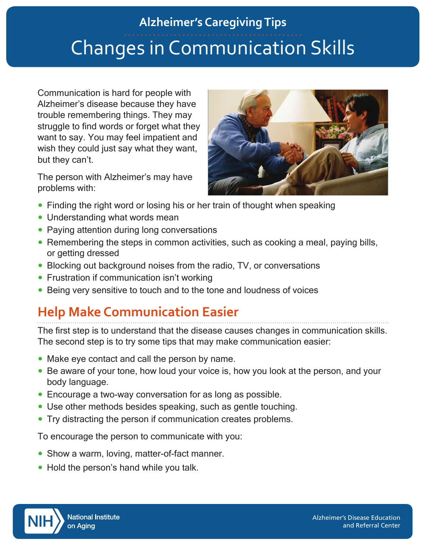# Changes in Communication Skills **Alzheimer's Caregiving Tips**

Communication is hard for people with Alzheimer's disease because they have trouble remembering things. They may struggle to find words or forget what they want to say. You may feel impatient and wish they could just say what they want, but they can't.

The person with Alzheimer's may have problems with:



- Finding the right word or losing his or her train of thought when speaking
- Understanding what words mean
- Paying attention during long conversations
- Remembering the steps in common activities, such as cooking a meal, paying bills, or getting dressed
- Blocking out background noises from the radio, TV, or conversations
- Frustration if communication isn't working
- Being very sensitive to touch and to the tone and loudness of voices

## **Help Make Communication Easier**

The first step is to understand that the disease causes changes in communication skills. The second step is to try some tips that may make communication easier:

- Make eye contact and call the person by name.
- Be aware of your tone, how loud your voice is, how you look at the person, and your body language.
- Encourage a two-way conversation for as long as possible.
- Use other methods besides speaking, such as gentle touching.
- Try distracting the person if communication creates problems.

To encourage the person to communicate with you:

- Show a warm, loving, matter-of-fact manner.
- Hold the person's hand while you talk.